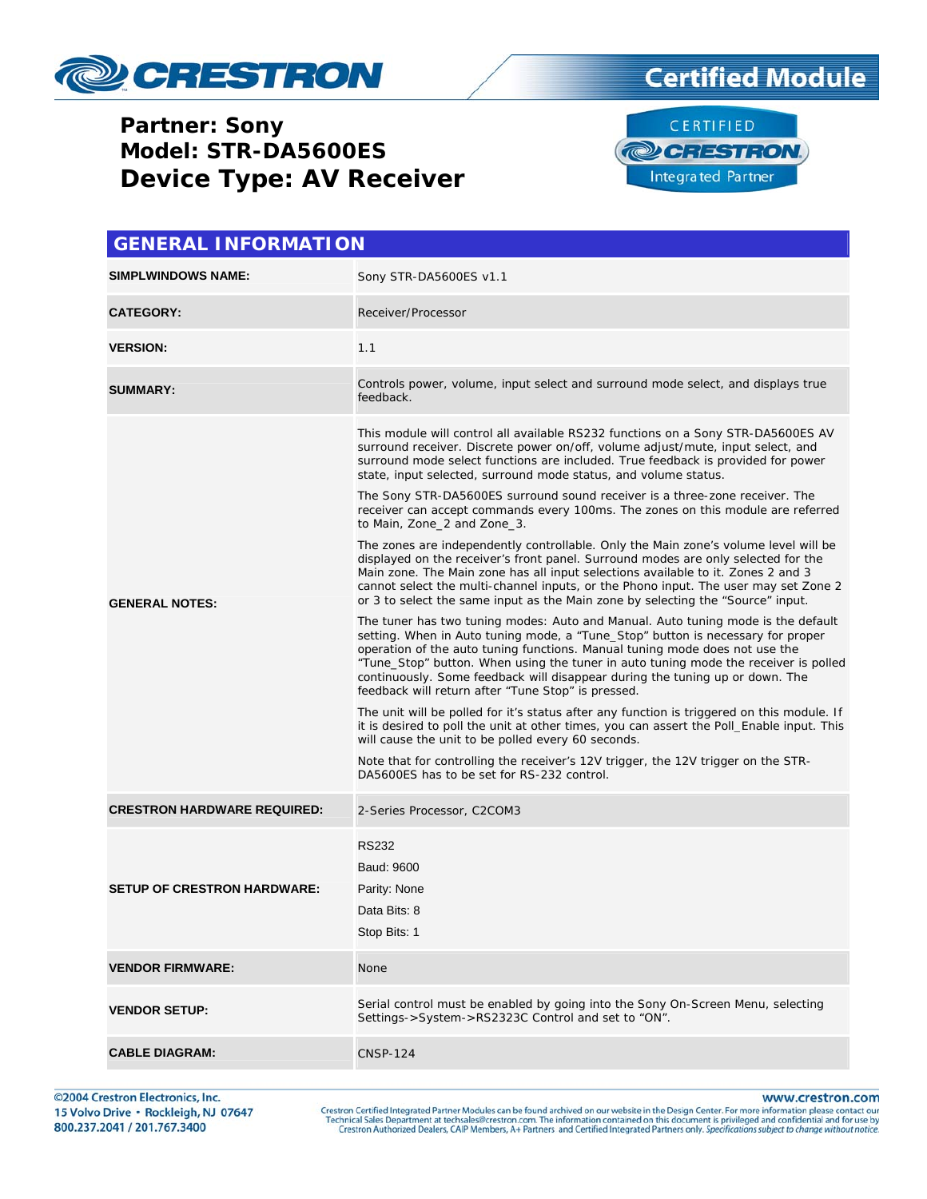

#### **Partner: Sony Model: STR-DA5600ES Device Type: AV Receiver**





| <b>GENERAL INFORMATION</b>         |                                                                                                                                                                                                                                                                                                                                                                                                                                                                                                                                                                                                                                                                                                                                                                                                                                                                                                                                                                                                                                                                                                                                                                                                                                                                                                                                                                                                                                                                                                                                                                                                                                                                                                                                                                                                                                              |  |  |
|------------------------------------|----------------------------------------------------------------------------------------------------------------------------------------------------------------------------------------------------------------------------------------------------------------------------------------------------------------------------------------------------------------------------------------------------------------------------------------------------------------------------------------------------------------------------------------------------------------------------------------------------------------------------------------------------------------------------------------------------------------------------------------------------------------------------------------------------------------------------------------------------------------------------------------------------------------------------------------------------------------------------------------------------------------------------------------------------------------------------------------------------------------------------------------------------------------------------------------------------------------------------------------------------------------------------------------------------------------------------------------------------------------------------------------------------------------------------------------------------------------------------------------------------------------------------------------------------------------------------------------------------------------------------------------------------------------------------------------------------------------------------------------------------------------------------------------------------------------------------------------------|--|--|
| <b>SIMPLWINDOWS NAME:</b>          | Sony STR-DA5600ES v1.1                                                                                                                                                                                                                                                                                                                                                                                                                                                                                                                                                                                                                                                                                                                                                                                                                                                                                                                                                                                                                                                                                                                                                                                                                                                                                                                                                                                                                                                                                                                                                                                                                                                                                                                                                                                                                       |  |  |
| <b>CATEGORY:</b>                   | Receiver/Processor                                                                                                                                                                                                                                                                                                                                                                                                                                                                                                                                                                                                                                                                                                                                                                                                                                                                                                                                                                                                                                                                                                                                                                                                                                                                                                                                                                                                                                                                                                                                                                                                                                                                                                                                                                                                                           |  |  |
| <b>VERSION:</b>                    | 1.1                                                                                                                                                                                                                                                                                                                                                                                                                                                                                                                                                                                                                                                                                                                                                                                                                                                                                                                                                                                                                                                                                                                                                                                                                                                                                                                                                                                                                                                                                                                                                                                                                                                                                                                                                                                                                                          |  |  |
| <b>SUMMARY:</b>                    | Controls power, volume, input select and surround mode select, and displays true<br>feedback.                                                                                                                                                                                                                                                                                                                                                                                                                                                                                                                                                                                                                                                                                                                                                                                                                                                                                                                                                                                                                                                                                                                                                                                                                                                                                                                                                                                                                                                                                                                                                                                                                                                                                                                                                |  |  |
| <b>GENERAL NOTES:</b>              | This module will control all available RS232 functions on a Sony STR-DA5600ES AV<br>surround receiver. Discrete power on/off, volume adjust/mute, input select, and<br>surround mode select functions are included. True feedback is provided for power<br>state, input selected, surround mode status, and volume status.<br>The Sony STR-DA5600ES surround sound receiver is a three-zone receiver. The<br>receiver can accept commands every 100ms. The zones on this module are referred<br>to Main, Zone_2 and Zone_3.<br>The zones are independently controllable. Only the Main zone's volume level will be<br>displayed on the receiver's front panel. Surround modes are only selected for the<br>Main zone. The Main zone has all input selections available to it. Zones 2 and 3<br>cannot select the multi-channel inputs, or the Phono input. The user may set Zone 2<br>or 3 to select the same input as the Main zone by selecting the "Source" input.<br>The tuner has two tuning modes: Auto and Manual. Auto tuning mode is the default<br>setting. When in Auto tuning mode, a "Tune_Stop" button is necessary for proper<br>operation of the auto tuning functions. Manual tuning mode does not use the<br>"Tune_Stop" button. When using the tuner in auto tuning mode the receiver is polled<br>continuously. Some feedback will disappear during the tuning up or down. The<br>feedback will return after "Tune Stop" is pressed.<br>The unit will be polled for it's status after any function is triggered on this module. If<br>it is desired to poll the unit at other times, you can assert the Poll_Enable input. This<br>will cause the unit to be polled every 60 seconds.<br>Note that for controlling the receiver's 12V trigger, the 12V trigger on the STR-<br>DA5600ES has to be set for RS-232 control. |  |  |
| <b>CRESTRON HARDWARE REQUIRED:</b> | 2-Series Processor, C2COM3                                                                                                                                                                                                                                                                                                                                                                                                                                                                                                                                                                                                                                                                                                                                                                                                                                                                                                                                                                                                                                                                                                                                                                                                                                                                                                                                                                                                                                                                                                                                                                                                                                                                                                                                                                                                                   |  |  |
| <b>SETUP OF CRESTRON HARDWARE:</b> | <b>RS232</b><br>Baud: 9600<br>Parity: None<br>Data Bits: 8<br>Stop Bits: 1                                                                                                                                                                                                                                                                                                                                                                                                                                                                                                                                                                                                                                                                                                                                                                                                                                                                                                                                                                                                                                                                                                                                                                                                                                                                                                                                                                                                                                                                                                                                                                                                                                                                                                                                                                   |  |  |
| <b>VENDOR FIRMWARE:</b>            | None                                                                                                                                                                                                                                                                                                                                                                                                                                                                                                                                                                                                                                                                                                                                                                                                                                                                                                                                                                                                                                                                                                                                                                                                                                                                                                                                                                                                                                                                                                                                                                                                                                                                                                                                                                                                                                         |  |  |
| <b>VENDOR SETUP:</b>               | Serial control must be enabled by going into the Sony On-Screen Menu, selecting<br>Settings->System->RS2323C Control and set to "ON".                                                                                                                                                                                                                                                                                                                                                                                                                                                                                                                                                                                                                                                                                                                                                                                                                                                                                                                                                                                                                                                                                                                                                                                                                                                                                                                                                                                                                                                                                                                                                                                                                                                                                                        |  |  |
| <b>CABLE DIAGRAM:</b>              | <b>CNSP-124</b>                                                                                                                                                                                                                                                                                                                                                                                                                                                                                                                                                                                                                                                                                                                                                                                                                                                                                                                                                                                                                                                                                                                                                                                                                                                                                                                                                                                                                                                                                                                                                                                                                                                                                                                                                                                                                              |  |  |

©2004 Crestron Electronics, Inc. 15 Volvo Drive · Rockleigh, NJ 07647 800.237.2041 / 201.767.3400

www.crestron.com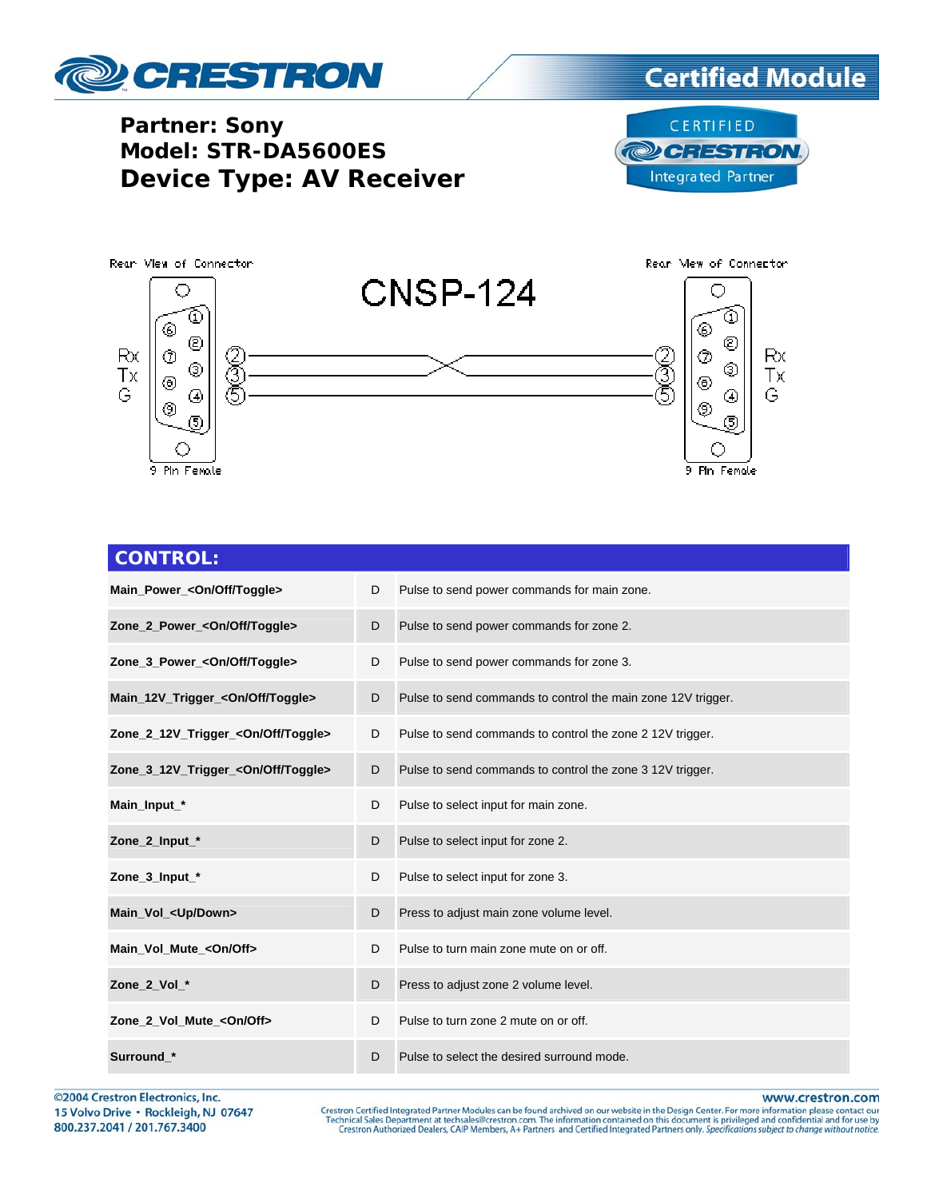

#### **Partner: Sony Model: STR-DA5600ES Device Type: AV Receiver**





| <b>CONTROL:</b>                                |   |                                                              |
|------------------------------------------------|---|--------------------------------------------------------------|
| Main_Power_ <on off="" toggle=""></on>         | D | Pulse to send power commands for main zone.                  |
| Zone_2_Power_ <on off="" toggle=""></on>       | D | Pulse to send power commands for zone 2.                     |
| Zone_3_Power_ <on off="" toggle=""></on>       | D | Pulse to send power commands for zone 3.                     |
| Main_12V_Trigger_ <on off="" toggle=""></on>   | D | Pulse to send commands to control the main zone 12V trigger. |
| Zone_2_12V_Trigger_ <on off="" toggle=""></on> | D | Pulse to send commands to control the zone 2 12V trigger.    |
| Zone_3_12V_Trigger_ <on off="" toggle=""></on> | D | Pulse to send commands to control the zone 3 12V trigger.    |
| Main_Input_*                                   | D | Pulse to select input for main zone.                         |
| Zone_2_Input_*                                 | D | Pulse to select input for zone 2.                            |
| Zone_3_Input_*                                 | D | Pulse to select input for zone 3.                            |
| Main_Vol_ <up down=""></up>                    | D | Press to adjust main zone volume level.                      |
| Main_Vol_Mute_ <on off=""></on>                | D | Pulse to turn main zone mute on or off.                      |
| Zone_2_Vol_*                                   | D | Press to adjust zone 2 volume level.                         |
| Zone_2_Vol_Mute_ <on off=""></on>              | D | Pulse to turn zone 2 mute on or off.                         |
| Surround *                                     | D | Pulse to select the desired surround mode.                   |

©2004 Crestron Electronics, Inc. 15 Volvo Drive · Rockleigh, NJ 07647 800.237.2041 / 201.767.3400

www.crestron.com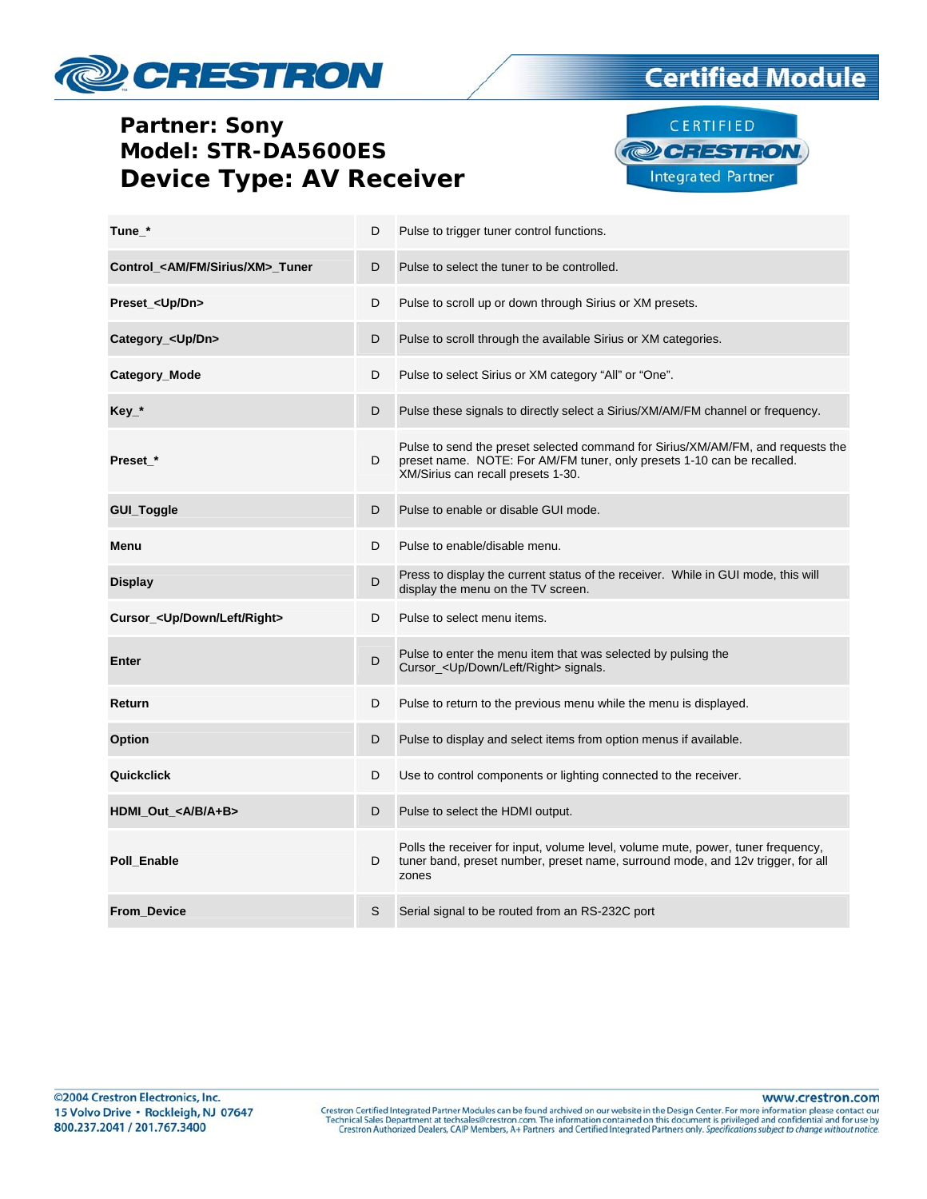# CRESTRON

### **Partner: Sony** Model: STR-DA5600ES **Device Type: AV Receiver**



**Certified Module** 

| Tune *                                         | D | Pulse to trigger tuner control functions.                                                                                                                                                       |
|------------------------------------------------|---|-------------------------------------------------------------------------------------------------------------------------------------------------------------------------------------------------|
| Control_ <am fm="" sirius="" xm="">_Tuner</am> | D | Pulse to select the tuner to be controlled.                                                                                                                                                     |
| Preset_ <up dn=""></up>                        | D | Pulse to scroll up or down through Sirius or XM presets.                                                                                                                                        |
| Category_ <up dn=""></up>                      | D | Pulse to scroll through the available Sirius or XM categories.                                                                                                                                  |
| <b>Category Mode</b>                           | D | Pulse to select Sirius or XM category "All" or "One".                                                                                                                                           |
| $Key_*$                                        | D | Pulse these signals to directly select a Sirius/XM/AM/FM channel or frequency.                                                                                                                  |
| Preset *                                       | D | Pulse to send the preset selected command for Sirius/XM/AM/FM, and requests the<br>preset name. NOTE: For AM/FM tuner, only presets 1-10 can be recalled.<br>XM/Sirius can recall presets 1-30. |
| GUI_Toggle                                     | D | Pulse to enable or disable GUI mode.                                                                                                                                                            |
| Menu                                           | D | Pulse to enable/disable menu.                                                                                                                                                                   |
| <b>Display</b>                                 | D | Press to display the current status of the receiver. While in GUI mode, this will<br>display the menu on the TV screen.                                                                         |
| Cursor_ <up down="" left="" right=""></up>     | D | Pulse to select menu items.                                                                                                                                                                     |
| Enter                                          | D | Pulse to enter the menu item that was selected by pulsing the<br>Cursor_ <up down="" left="" right=""> signals.</up>                                                                            |
| Return                                         | D | Pulse to return to the previous menu while the menu is displayed.                                                                                                                               |
| Option                                         | D | Pulse to display and select items from option menus if available.                                                                                                                               |
| Quickclick                                     | D | Use to control components or lighting connected to the receiver.                                                                                                                                |
| HDMI_Out_ <a a+b="" b=""></a>                  | D | Pulse to select the HDMI output.                                                                                                                                                                |
| Poll_Enable                                    | D | Polls the receiver for input, volume level, volume mute, power, tuner frequency,<br>tuner band, preset number, preset name, surround mode, and 12v trigger, for all<br>zones                    |
| From_Device                                    | S | Serial signal to be routed from an RS-232C port                                                                                                                                                 |

www.crestron.com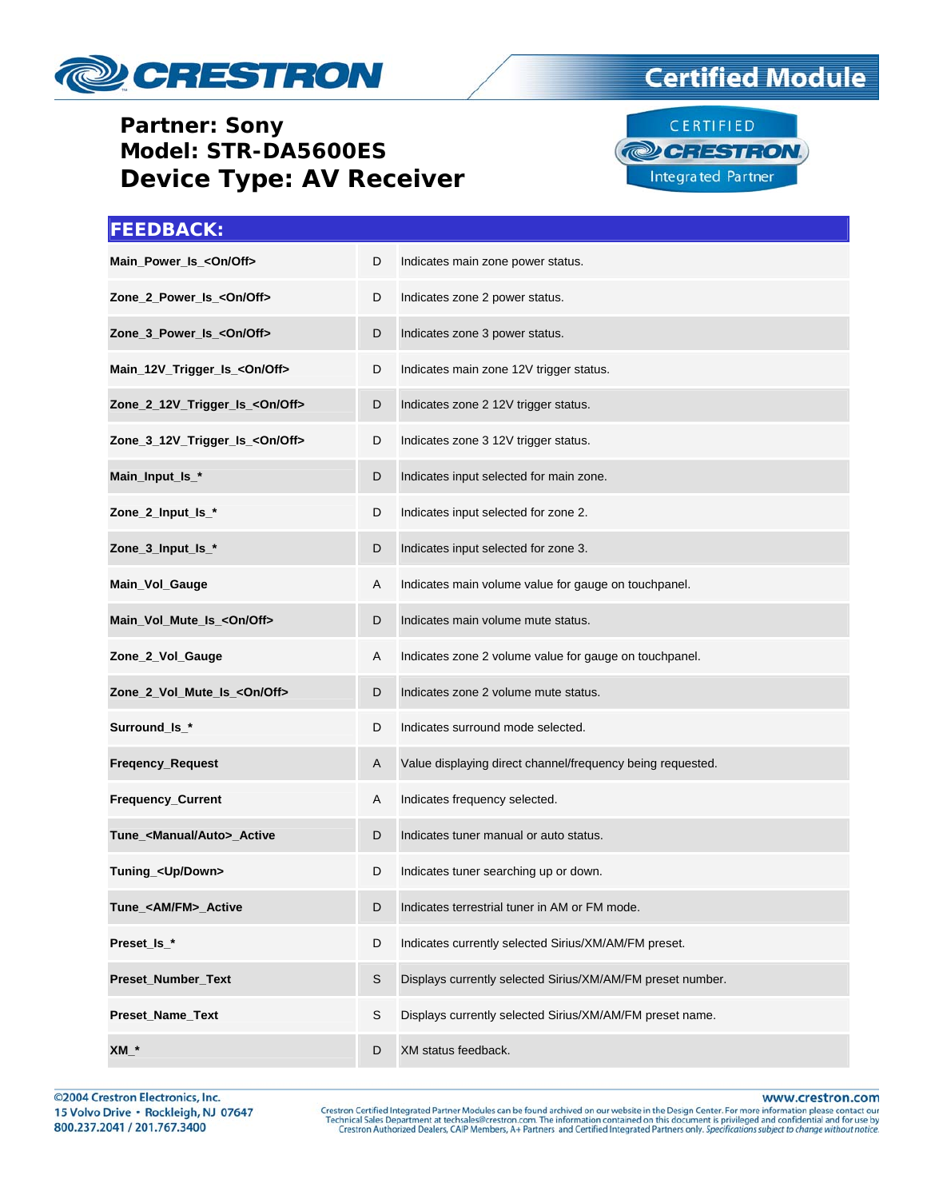

### **Partner: Sony** Model: STR-DA5600ES **Device Type: AV Receiver**

## **Certified Module**



| <b>FEEDBACK:</b>                        |   |                                                            |
|-----------------------------------------|---|------------------------------------------------------------|
| Main_Power_Is_ <on off=""></on>         | D | Indicates main zone power status.                          |
| Zone_2_Power_Is_ <on off=""></on>       | D | Indicates zone 2 power status.                             |
| Zone_3_Power_Is_ <on off=""></on>       | D | Indicates zone 3 power status.                             |
| Main_12V_Trigger_Is_ <on off=""></on>   | D | Indicates main zone 12V trigger status.                    |
| Zone_2_12V_Trigger_Is_<0n/Off>          | D | Indicates zone 2 12V trigger status.                       |
| Zone_3_12V_Trigger_Is_ <on off=""></on> | D | Indicates zone 3 12V trigger status.                       |
| Main_Input_Is_*                         | D | Indicates input selected for main zone.                    |
| Zone_2_Input_Is_*                       | D | Indicates input selected for zone 2.                       |
| Zone_3_Input_Is_*                       | D | Indicates input selected for zone 3.                       |
| Main_Vol_Gauge                          | Α | Indicates main volume value for gauge on touchpanel.       |
| Main_Vol_Mute_Is_ <on off=""></on>      | D | Indicates main volume mute status.                         |
| Zone_2_Vol_Gauge                        | Α | Indicates zone 2 volume value for gauge on touchpanel.     |
| Zone_2_Vol_Mute_Is_ <on off=""></on>    | D | Indicates zone 2 volume mute status.                       |
| Surround_ls_*                           | D | Indicates surround mode selected.                          |
| Freqency_Request                        | A | Value displaying direct channel/frequency being requested. |
| Frequency_Current                       | A | Indicates frequency selected.                              |
| Tune_ <manual auto="">_Active</manual>  | D | Indicates tuner manual or auto status.                     |
| Tuning_ <up down=""></up>               | D | Indicates tuner searching up or down.                      |
| Tune_ <am fm="">_Active</am>            | D | Indicates terrestrial tuner in AM or FM mode.              |
| Preset_Is_*                             | D | Indicates currently selected Sirius/XM/AM/FM preset.       |
| Preset_Number_Text                      | S | Displays currently selected Sirius/XM/AM/FM preset number. |
| Preset_Name_Text                        | S | Displays currently selected Sirius/XM/AM/FM preset name.   |
| $XM_$                                   | D | XM status feedback.                                        |

©2004 Crestron Electronics, Inc. 15 Volvo Drive · Rockleigh, NJ 07647 800.237.2041 / 201.767.3400

www.crestron.com